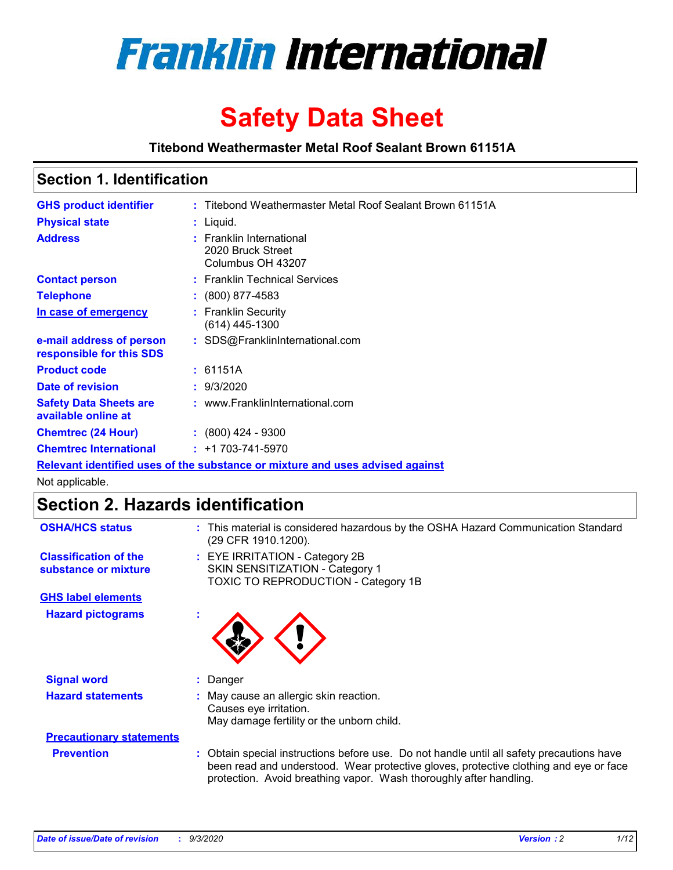

# **Safety Data Sheet**

**Titebond Weathermaster Metal Roof Sealant Brown 61151A**

### **Section 1. Identification**

| <b>GHS product identifier</b>                                                 |  | : Titebond Weathermaster Metal Roof Sealant Brown 61151A           |  |
|-------------------------------------------------------------------------------|--|--------------------------------------------------------------------|--|
| <b>Physical state</b>                                                         |  | $:$ Liquid.                                                        |  |
| <b>Address</b>                                                                |  | : Franklin International<br>2020 Bruck Street<br>Columbus OH 43207 |  |
| <b>Contact person</b>                                                         |  | : Franklin Technical Services                                      |  |
| <b>Telephone</b>                                                              |  | $\div$ (800) 877-4583                                              |  |
| In case of emergency                                                          |  | : Franklin Security<br>(614) 445-1300                              |  |
| e-mail address of person<br>responsible for this SDS                          |  | : SDS@FranklinInternational.com                                    |  |
| <b>Product code</b>                                                           |  | : 61151A                                                           |  |
| Date of revision                                                              |  | : 9/3/2020                                                         |  |
| <b>Safety Data Sheets are</b><br>available online at                          |  | : www.FranklinInternational.com                                    |  |
| <b>Chemtrec (24 Hour)</b>                                                     |  | $\cdot$ (800) 424 - 9300                                           |  |
| <b>Chemtrec International</b>                                                 |  | $: +1703 - 741 - 5970$                                             |  |
| Relevant identified uses of the substance or mixture and uses advised against |  |                                                                    |  |

Not applicable.

# **Section 2. Hazards identification**

| <b>OSHA/HCS status</b>                               |    | : This material is considered hazardous by the OSHA Hazard Communication Standard<br>(29 CFR 1910.1200).                                                                                                                                                 |
|------------------------------------------------------|----|----------------------------------------------------------------------------------------------------------------------------------------------------------------------------------------------------------------------------------------------------------|
| <b>Classification of the</b><br>substance or mixture |    | : EYE IRRITATION - Category 2B<br>SKIN SENSITIZATION - Category 1<br>TOXIC TO REPRODUCTION - Category 1B                                                                                                                                                 |
| <b>GHS label elements</b>                            |    |                                                                                                                                                                                                                                                          |
| <b>Hazard pictograms</b>                             | ×. |                                                                                                                                                                                                                                                          |
| <b>Signal word</b>                                   | ÷. | Danger                                                                                                                                                                                                                                                   |
| <b>Hazard statements</b>                             |    | May cause an allergic skin reaction.<br>Causes eye irritation.<br>May damage fertility or the unborn child.                                                                                                                                              |
| <b>Precautionary statements</b>                      |    |                                                                                                                                                                                                                                                          |
| <b>Prevention</b>                                    |    | : Obtain special instructions before use. Do not handle until all safety precautions have<br>been read and understood. Wear protective gloves, protective clothing and eye or face<br>protection. Avoid breathing vapor. Wash thoroughly after handling. |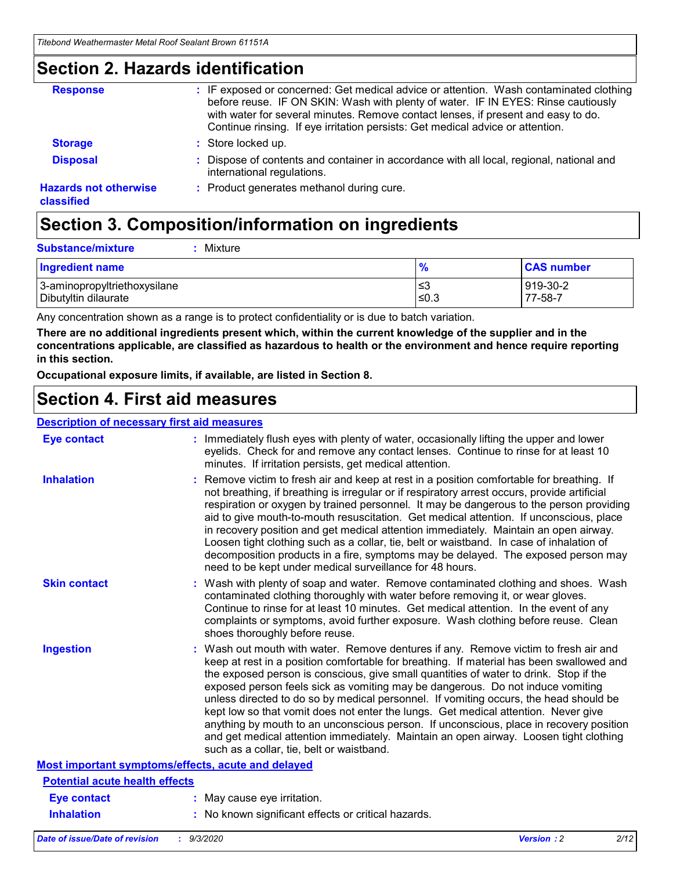### **Section 2. Hazards identification**

| <b>Response</b>                            | : IF exposed or concerned: Get medical advice or attention. Wash contaminated clothing<br>before reuse. IF ON SKIN: Wash with plenty of water. IF IN EYES: Rinse cautiously<br>with water for several minutes. Remove contact lenses, if present and easy to do.<br>Continue rinsing. If eye irritation persists: Get medical advice or attention. |
|--------------------------------------------|----------------------------------------------------------------------------------------------------------------------------------------------------------------------------------------------------------------------------------------------------------------------------------------------------------------------------------------------------|
| <b>Storage</b>                             | : Store locked up.                                                                                                                                                                                                                                                                                                                                 |
| <b>Disposal</b>                            | : Dispose of contents and container in accordance with all local, regional, national and<br>international regulations.                                                                                                                                                                                                                             |
| <b>Hazards not otherwise</b><br>classified | : Product generates methanol during cure.                                                                                                                                                                                                                                                                                                          |

# **Section 3. Composition/information on ingredients**

| <b>Substance/mixture</b> | Mixture |
|--------------------------|---------|
|                          |         |

| <b>Ingredient name</b>       | $\frac{9}{6}$ | <b>CAS number</b> |
|------------------------------|---------------|-------------------|
| 3-aminopropyltriethoxysilane | ≤3            | 919-30-2          |
| Dibutyltin dilaurate         | ≤0.3          | 77-58-7           |

Any concentration shown as a range is to protect confidentiality or is due to batch variation.

**There are no additional ingredients present which, within the current knowledge of the supplier and in the concentrations applicable, are classified as hazardous to health or the environment and hence require reporting in this section.**

**Occupational exposure limits, if available, are listed in Section 8.**

### **Section 4. First aid measures**

| <b>Description of necessary first aid measures</b> |                                                                                                                                                                                                                                                                                                                                                                                                                                                                                                                                                                                                                                                                                                                                                                           |
|----------------------------------------------------|---------------------------------------------------------------------------------------------------------------------------------------------------------------------------------------------------------------------------------------------------------------------------------------------------------------------------------------------------------------------------------------------------------------------------------------------------------------------------------------------------------------------------------------------------------------------------------------------------------------------------------------------------------------------------------------------------------------------------------------------------------------------------|
| <b>Eye contact</b>                                 | : Immediately flush eyes with plenty of water, occasionally lifting the upper and lower<br>eyelids. Check for and remove any contact lenses. Continue to rinse for at least 10<br>minutes. If irritation persists, get medical attention.                                                                                                                                                                                                                                                                                                                                                                                                                                                                                                                                 |
| <b>Inhalation</b>                                  | : Remove victim to fresh air and keep at rest in a position comfortable for breathing. If<br>not breathing, if breathing is irregular or if respiratory arrest occurs, provide artificial<br>respiration or oxygen by trained personnel. It may be dangerous to the person providing<br>aid to give mouth-to-mouth resuscitation. Get medical attention. If unconscious, place<br>in recovery position and get medical attention immediately. Maintain an open airway.<br>Loosen tight clothing such as a collar, tie, belt or waistband. In case of inhalation of<br>decomposition products in a fire, symptoms may be delayed. The exposed person may<br>need to be kept under medical surveillance for 48 hours.                                                       |
| <b>Skin contact</b>                                | : Wash with plenty of soap and water. Remove contaminated clothing and shoes. Wash<br>contaminated clothing thoroughly with water before removing it, or wear gloves.<br>Continue to rinse for at least 10 minutes. Get medical attention. In the event of any<br>complaints or symptoms, avoid further exposure. Wash clothing before reuse. Clean<br>shoes thoroughly before reuse.                                                                                                                                                                                                                                                                                                                                                                                     |
| <b>Ingestion</b>                                   | : Wash out mouth with water. Remove dentures if any. Remove victim to fresh air and<br>keep at rest in a position comfortable for breathing. If material has been swallowed and<br>the exposed person is conscious, give small quantities of water to drink. Stop if the<br>exposed person feels sick as vomiting may be dangerous. Do not induce vomiting<br>unless directed to do so by medical personnel. If vomiting occurs, the head should be<br>kept low so that vomit does not enter the lungs. Get medical attention. Never give<br>anything by mouth to an unconscious person. If unconscious, place in recovery position<br>and get medical attention immediately. Maintain an open airway. Loosen tight clothing<br>such as a collar, tie, belt or waistband. |
| Most important symptoms/effects, acute and delayed |                                                                                                                                                                                                                                                                                                                                                                                                                                                                                                                                                                                                                                                                                                                                                                           |
| <b>Potential acute health effects</b>              |                                                                                                                                                                                                                                                                                                                                                                                                                                                                                                                                                                                                                                                                                                                                                                           |
| Eye contact                                        | : May cause eye irritation.                                                                                                                                                                                                                                                                                                                                                                                                                                                                                                                                                                                                                                                                                                                                               |
| <b>Inhalation</b>                                  | : No known significant effects or critical hazards.                                                                                                                                                                                                                                                                                                                                                                                                                                                                                                                                                                                                                                                                                                                       |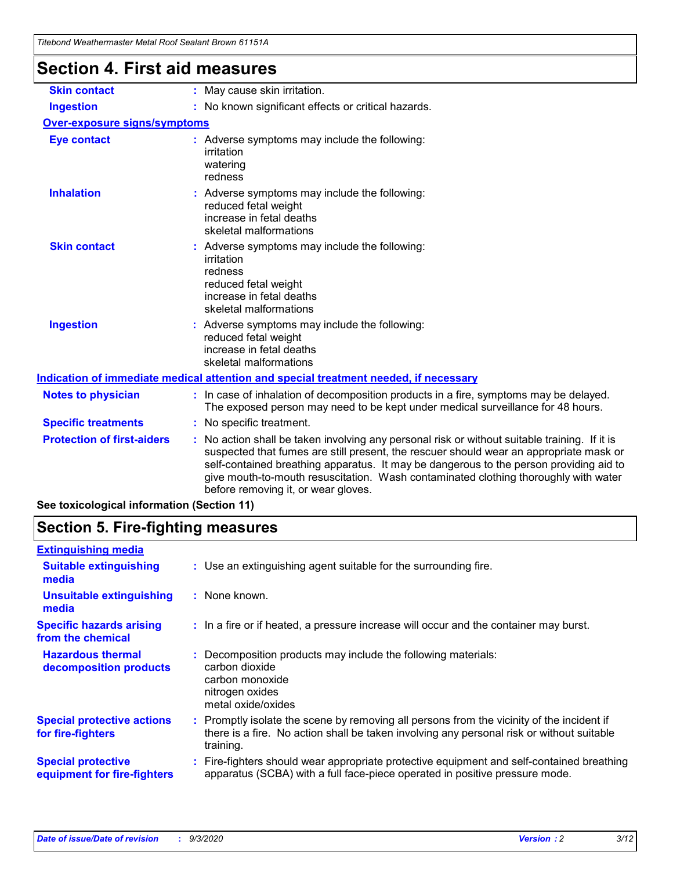| Titebond Weathermaster Metal Roof Sealant Brown 61151A |                                                                                                                                                                                                                                                                                                                                                                                                                 |
|--------------------------------------------------------|-----------------------------------------------------------------------------------------------------------------------------------------------------------------------------------------------------------------------------------------------------------------------------------------------------------------------------------------------------------------------------------------------------------------|
| <b>Section 4. First aid measures</b>                   |                                                                                                                                                                                                                                                                                                                                                                                                                 |
| <b>Skin contact</b>                                    | : May cause skin irritation.                                                                                                                                                                                                                                                                                                                                                                                    |
| <b>Ingestion</b>                                       | : No known significant effects or critical hazards.                                                                                                                                                                                                                                                                                                                                                             |
| <b>Over-exposure signs/symptoms</b>                    |                                                                                                                                                                                                                                                                                                                                                                                                                 |
| <b>Eye contact</b>                                     | : Adverse symptoms may include the following:<br>irritation<br>watering<br>redness                                                                                                                                                                                                                                                                                                                              |
| <b>Inhalation</b>                                      | : Adverse symptoms may include the following:<br>reduced fetal weight<br>increase in fetal deaths<br>skeletal malformations                                                                                                                                                                                                                                                                                     |
| <b>Skin contact</b>                                    | : Adverse symptoms may include the following:<br>irritation<br>redness<br>reduced fetal weight<br>increase in fetal deaths<br>skeletal malformations                                                                                                                                                                                                                                                            |
| <b>Ingestion</b>                                       | : Adverse symptoms may include the following:<br>reduced fetal weight<br>increase in fetal deaths<br>skeletal malformations                                                                                                                                                                                                                                                                                     |
|                                                        | Indication of immediate medical attention and special treatment needed, if necessary                                                                                                                                                                                                                                                                                                                            |
| <b>Notes to physician</b>                              | : In case of inhalation of decomposition products in a fire, symptoms may be delayed.<br>The exposed person may need to be kept under medical surveillance for 48 hours.                                                                                                                                                                                                                                        |
| <b>Specific treatments</b>                             | : No specific treatment.                                                                                                                                                                                                                                                                                                                                                                                        |
| <b>Protection of first-aiders</b>                      | : No action shall be taken involving any personal risk or without suitable training. If it is<br>suspected that fumes are still present, the rescuer should wear an appropriate mask or<br>self-contained breathing apparatus. It may be dangerous to the person providing aid to<br>give mouth-to-mouth resuscitation. Wash contaminated clothing thoroughly with water<br>before removing it, or wear gloves. |
| See toxicological information (Section 11)             |                                                                                                                                                                                                                                                                                                                                                                                                                 |

# **Section 5. Fire-fighting measures**

| <b>Extinguishing media</b>                               |                                                                                                                                                                                                     |  |
|----------------------------------------------------------|-----------------------------------------------------------------------------------------------------------------------------------------------------------------------------------------------------|--|
| <b>Suitable extinguishing</b><br>media                   | : Use an extinguishing agent suitable for the surrounding fire.                                                                                                                                     |  |
| <b>Unsuitable extinguishing</b><br>media                 | : None known.                                                                                                                                                                                       |  |
| <b>Specific hazards arising</b><br>from the chemical     | : In a fire or if heated, a pressure increase will occur and the container may burst.                                                                                                               |  |
| <b>Hazardous thermal</b><br>decomposition products       | : Decomposition products may include the following materials:<br>carbon dioxide<br>carbon monoxide<br>nitrogen oxides<br>metal oxide/oxides                                                         |  |
| <b>Special protective actions</b><br>for fire-fighters   | : Promptly isolate the scene by removing all persons from the vicinity of the incident if<br>there is a fire. No action shall be taken involving any personal risk or without suitable<br>training. |  |
| <b>Special protective</b><br>equipment for fire-fighters | Fire-fighters should wear appropriate protective equipment and self-contained breathing<br>apparatus (SCBA) with a full face-piece operated in positive pressure mode.                              |  |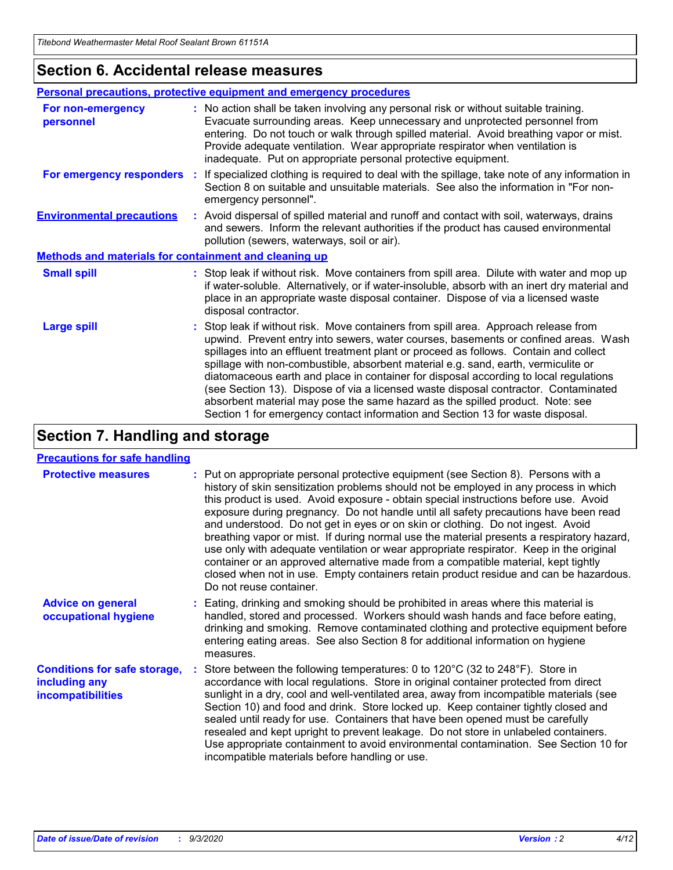### **Section 6. Accidental release measures**

|                                                              | Personal precautions, protective equipment and emergency procedures                                                                                                                                                                                                                                                                                                                                                                                                                                                                                                                                                                                                                                          |  |  |  |
|--------------------------------------------------------------|--------------------------------------------------------------------------------------------------------------------------------------------------------------------------------------------------------------------------------------------------------------------------------------------------------------------------------------------------------------------------------------------------------------------------------------------------------------------------------------------------------------------------------------------------------------------------------------------------------------------------------------------------------------------------------------------------------------|--|--|--|
| For non-emergency<br>personnel                               | : No action shall be taken involving any personal risk or without suitable training.<br>Evacuate surrounding areas. Keep unnecessary and unprotected personnel from<br>entering. Do not touch or walk through spilled material. Avoid breathing vapor or mist.<br>Provide adequate ventilation. Wear appropriate respirator when ventilation is<br>inadequate. Put on appropriate personal protective equipment.                                                                                                                                                                                                                                                                                             |  |  |  |
| For emergency responders                                     | : If specialized clothing is required to deal with the spillage, take note of any information in<br>Section 8 on suitable and unsuitable materials. See also the information in "For non-<br>emergency personnel".                                                                                                                                                                                                                                                                                                                                                                                                                                                                                           |  |  |  |
| <b>Environmental precautions</b>                             | : Avoid dispersal of spilled material and runoff and contact with soil, waterways, drains<br>and sewers. Inform the relevant authorities if the product has caused environmental<br>pollution (sewers, waterways, soil or air).                                                                                                                                                                                                                                                                                                                                                                                                                                                                              |  |  |  |
| <b>Methods and materials for containment and cleaning up</b> |                                                                                                                                                                                                                                                                                                                                                                                                                                                                                                                                                                                                                                                                                                              |  |  |  |
| <b>Small spill</b>                                           | : Stop leak if without risk. Move containers from spill area. Dilute with water and mop up<br>if water-soluble. Alternatively, or if water-insoluble, absorb with an inert dry material and<br>place in an appropriate waste disposal container. Dispose of via a licensed waste<br>disposal contractor.                                                                                                                                                                                                                                                                                                                                                                                                     |  |  |  |
| <b>Large spill</b>                                           | : Stop leak if without risk. Move containers from spill area. Approach release from<br>upwind. Prevent entry into sewers, water courses, basements or confined areas. Wash<br>spillages into an effluent treatment plant or proceed as follows. Contain and collect<br>spillage with non-combustible, absorbent material e.g. sand, earth, vermiculite or<br>diatomaceous earth and place in container for disposal according to local regulations<br>(see Section 13). Dispose of via a licensed waste disposal contractor. Contaminated<br>absorbent material may pose the same hazard as the spilled product. Note: see<br>Section 1 for emergency contact information and Section 13 for waste disposal. |  |  |  |

### **Section 7. Handling and storage**

#### **Precautions for safe handling**

| <b>Protective measures</b>                                                       | : Put on appropriate personal protective equipment (see Section 8). Persons with a<br>history of skin sensitization problems should not be employed in any process in which<br>this product is used. Avoid exposure - obtain special instructions before use. Avoid<br>exposure during pregnancy. Do not handle until all safety precautions have been read<br>and understood. Do not get in eyes or on skin or clothing. Do not ingest. Avoid<br>breathing vapor or mist. If during normal use the material presents a respiratory hazard,<br>use only with adequate ventilation or wear appropriate respirator. Keep in the original<br>container or an approved alternative made from a compatible material, kept tightly<br>closed when not in use. Empty containers retain product residue and can be hazardous.<br>Do not reuse container. |
|----------------------------------------------------------------------------------|--------------------------------------------------------------------------------------------------------------------------------------------------------------------------------------------------------------------------------------------------------------------------------------------------------------------------------------------------------------------------------------------------------------------------------------------------------------------------------------------------------------------------------------------------------------------------------------------------------------------------------------------------------------------------------------------------------------------------------------------------------------------------------------------------------------------------------------------------|
| <b>Advice on general</b><br>occupational hygiene                                 | : Eating, drinking and smoking should be prohibited in areas where this material is<br>handled, stored and processed. Workers should wash hands and face before eating,<br>drinking and smoking. Remove contaminated clothing and protective equipment before<br>entering eating areas. See also Section 8 for additional information on hygiene<br>measures.                                                                                                                                                                                                                                                                                                                                                                                                                                                                                    |
| <b>Conditions for safe storage,</b><br>including any<br><i>incompatibilities</i> | Store between the following temperatures: 0 to $120^{\circ}$ C (32 to $248^{\circ}$ F). Store in<br>accordance with local regulations. Store in original container protected from direct<br>sunlight in a dry, cool and well-ventilated area, away from incompatible materials (see<br>Section 10) and food and drink. Store locked up. Keep container tightly closed and<br>sealed until ready for use. Containers that have been opened must be carefully<br>resealed and kept upright to prevent leakage. Do not store in unlabeled containers.<br>Use appropriate containment to avoid environmental contamination. See Section 10 for<br>incompatible materials before handling or use.                                                                                                                                                     |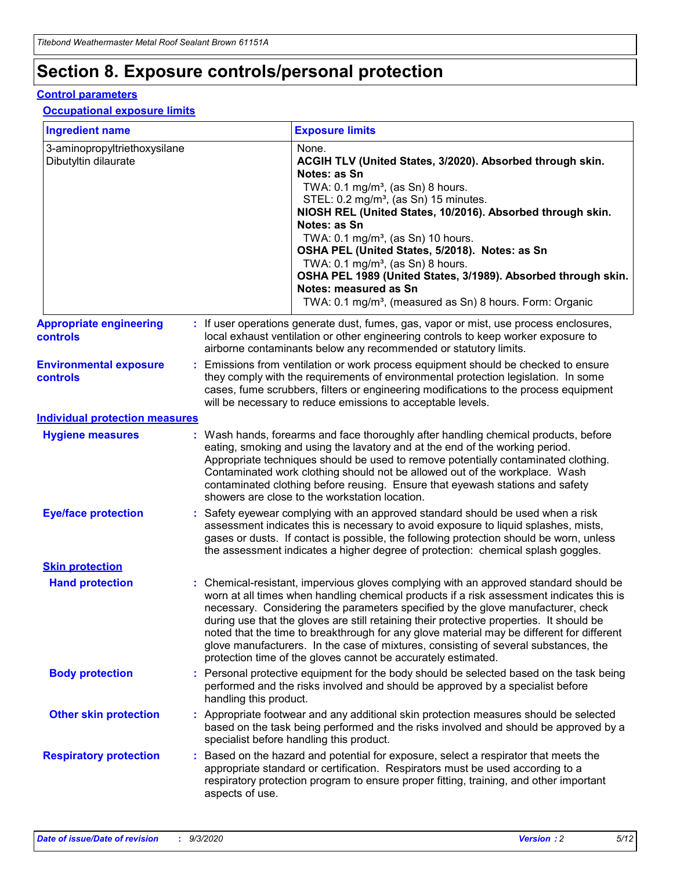# **Section 8. Exposure controls/personal protection**

#### **Control parameters**

#### **Occupational exposure limits**

| <b>Ingredient name</b>                               |    |                        | <b>Exposure limits</b>                                                                                                                                                                                                                                                                                                                                                                                                                                                                                                                                                                                                 |
|------------------------------------------------------|----|------------------------|------------------------------------------------------------------------------------------------------------------------------------------------------------------------------------------------------------------------------------------------------------------------------------------------------------------------------------------------------------------------------------------------------------------------------------------------------------------------------------------------------------------------------------------------------------------------------------------------------------------------|
| 3-aminopropyltriethoxysilane<br>Dibutyltin dilaurate |    |                        | None.<br>ACGIH TLV (United States, 3/2020). Absorbed through skin.<br>Notes: as Sn<br>TWA: $0.1 \text{ mg/m}^3$ , (as Sn) 8 hours.<br>STEL: 0.2 mg/m <sup>3</sup> , (as Sn) 15 minutes.<br>NIOSH REL (United States, 10/2016). Absorbed through skin.<br>Notes: as Sn<br>TWA: 0.1 mg/m <sup>3</sup> , (as Sn) 10 hours.<br>OSHA PEL (United States, 5/2018). Notes: as Sn<br>TWA: 0.1 mg/m <sup>3</sup> , (as Sn) 8 hours.<br>OSHA PEL 1989 (United States, 3/1989). Absorbed through skin.<br>Notes: measured as Sn<br>TWA: 0.1 mg/m <sup>3</sup> , (measured as Sn) 8 hours. Form: Organic                           |
| <b>Appropriate engineering</b><br>controls           |    |                        | : If user operations generate dust, fumes, gas, vapor or mist, use process enclosures,<br>local exhaust ventilation or other engineering controls to keep worker exposure to<br>airborne contaminants below any recommended or statutory limits.                                                                                                                                                                                                                                                                                                                                                                       |
| <b>Environmental exposure</b><br>controls            |    |                        | Emissions from ventilation or work process equipment should be checked to ensure<br>they comply with the requirements of environmental protection legislation. In some<br>cases, fume scrubbers, filters or engineering modifications to the process equipment<br>will be necessary to reduce emissions to acceptable levels.                                                                                                                                                                                                                                                                                          |
| <b>Individual protection measures</b>                |    |                        |                                                                                                                                                                                                                                                                                                                                                                                                                                                                                                                                                                                                                        |
| <b>Hygiene measures</b>                              |    |                        | : Wash hands, forearms and face thoroughly after handling chemical products, before<br>eating, smoking and using the lavatory and at the end of the working period.<br>Appropriate techniques should be used to remove potentially contaminated clothing.<br>Contaminated work clothing should not be allowed out of the workplace. Wash<br>contaminated clothing before reusing. Ensure that eyewash stations and safety<br>showers are close to the workstation location.                                                                                                                                            |
| <b>Eye/face protection</b>                           |    |                        | Safety eyewear complying with an approved standard should be used when a risk<br>assessment indicates this is necessary to avoid exposure to liquid splashes, mists,<br>gases or dusts. If contact is possible, the following protection should be worn, unless<br>the assessment indicates a higher degree of protection: chemical splash goggles.                                                                                                                                                                                                                                                                    |
| <b>Skin protection</b>                               |    |                        |                                                                                                                                                                                                                                                                                                                                                                                                                                                                                                                                                                                                                        |
| <b>Hand protection</b>                               |    |                        | : Chemical-resistant, impervious gloves complying with an approved standard should be<br>worn at all times when handling chemical products if a risk assessment indicates this is<br>necessary. Considering the parameters specified by the glove manufacturer, check<br>during use that the gloves are still retaining their protective properties. It should be<br>noted that the time to breakthrough for any glove material may be different for different<br>glove manufacturers. In the case of mixtures, consisting of several substances, the<br>protection time of the gloves cannot be accurately estimated. |
| <b>Body protection</b>                               |    | handling this product. | Personal protective equipment for the body should be selected based on the task being<br>performed and the risks involved and should be approved by a specialist before                                                                                                                                                                                                                                                                                                                                                                                                                                                |
| <b>Other skin protection</b>                         |    |                        | : Appropriate footwear and any additional skin protection measures should be selected<br>based on the task being performed and the risks involved and should be approved by a<br>specialist before handling this product.                                                                                                                                                                                                                                                                                                                                                                                              |
| <b>Respiratory protection</b>                        | ÷. | aspects of use.        | Based on the hazard and potential for exposure, select a respirator that meets the<br>appropriate standard or certification. Respirators must be used according to a<br>respiratory protection program to ensure proper fitting, training, and other important                                                                                                                                                                                                                                                                                                                                                         |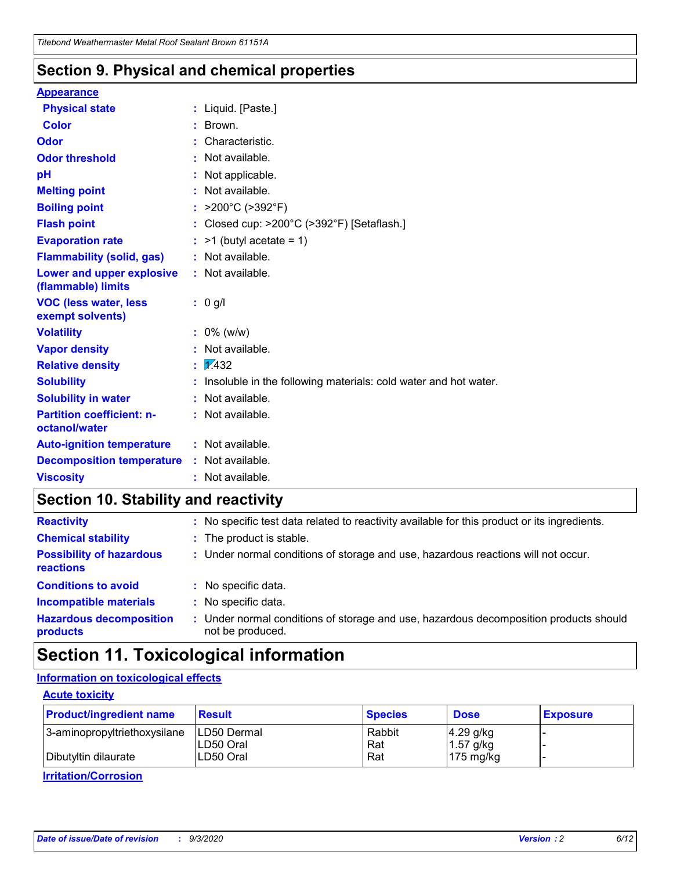### **Section 9. Physical and chemical properties**

#### **Appearance**

| <b>Physical state</b>                             |    | : Liquid. [Paste.]                                              |
|---------------------------------------------------|----|-----------------------------------------------------------------|
| <b>Color</b>                                      |    | Brown.                                                          |
| Odor                                              |    | Characteristic.                                                 |
| <b>Odor threshold</b>                             |    | Not available.                                                  |
| рH                                                |    | Not applicable.                                                 |
| <b>Melting point</b>                              |    | Not available.                                                  |
| <b>Boiling point</b>                              |    | : $>200^{\circ}$ C ( $>392^{\circ}$ F)                          |
| <b>Flash point</b>                                |    | Closed cup: >200°C (>392°F) [Setaflash.]                        |
| <b>Evaporation rate</b>                           |    | $:$ >1 (butyl acetate = 1)                                      |
| <b>Flammability (solid, gas)</b>                  |    | : Not available.                                                |
| Lower and upper explosive<br>(flammable) limits   |    | : Not available.                                                |
| <b>VOC (less water, less</b><br>exempt solvents)  |    | : 0 g/l                                                         |
| <b>Volatility</b>                                 |    | $: 0\%$ (w/w)                                                   |
| <b>Vapor density</b>                              |    | Not available.                                                  |
| <b>Relative density</b>                           | ÷. | $\sqrt{1/432}$                                                  |
| <b>Solubility</b>                                 |    | Insoluble in the following materials: cold water and hot water. |
| <b>Solubility in water</b>                        |    | Not available.                                                  |
| <b>Partition coefficient: n-</b><br>octanol/water |    | : Not available.                                                |
| <b>Auto-ignition temperature</b>                  |    | $:$ Not available.                                              |
| <b>Decomposition temperature</b>                  |    | : Not available.                                                |
| <b>Viscosity</b>                                  |    | $:$ Not available.                                              |

### **Section 10. Stability and reactivity**

| <b>Reactivity</b>                            |    | : No specific test data related to reactivity available for this product or its ingredients.            |
|----------------------------------------------|----|---------------------------------------------------------------------------------------------------------|
| <b>Chemical stability</b>                    |    | : The product is stable.                                                                                |
| <b>Possibility of hazardous</b><br>reactions |    | : Under normal conditions of storage and use, hazardous reactions will not occur.                       |
| <b>Conditions to avoid</b>                   |    | : No specific data.                                                                                     |
| <b>Incompatible materials</b>                | ٠. | No specific data.                                                                                       |
| <b>Hazardous decomposition</b><br>products   | ÷. | Under normal conditions of storage and use, hazardous decomposition products should<br>not be produced. |

# **Section 11. Toxicological information**

#### **Information on toxicological effects**

#### **Acute toxicity**

| <b>Product/ingredient name</b> | <b>Result</b>           | <b>Species</b> | <b>Dose</b>                | <b>Exposure</b> |
|--------------------------------|-------------------------|----------------|----------------------------|-----------------|
| 3-aminopropyltriethoxysilane   | <b>ILD50 Dermal</b>     | Rabbit         | 4.29 g/kg                  |                 |
| Dibutyltin dilaurate           | ILD50 Oral<br>LD50 Oral | Rat<br>Rat     | $1.57$ g/kg<br>175 $mg/kg$ |                 |
|                                |                         |                |                            |                 |

**Irritation/Corrosion**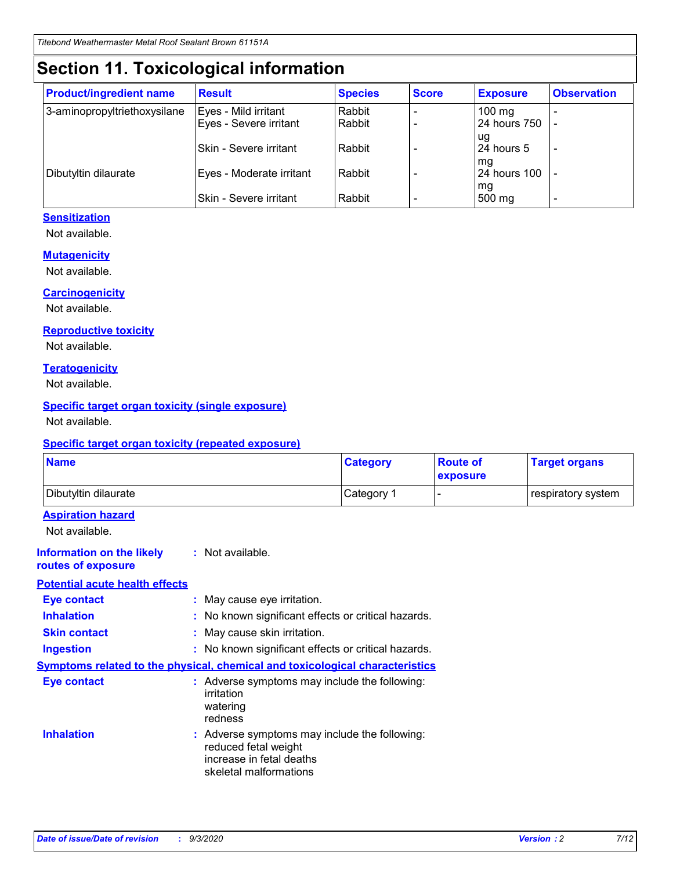# **Section 11. Toxicological information**

| <b>Product/ingredient name</b> | <b>Result</b>                 | <b>Species</b> | <b>Score</b> | <b>Exposure</b>    | <b>Observation</b>       |
|--------------------------------|-------------------------------|----------------|--------------|--------------------|--------------------------|
| 3-aminopropyltriethoxysilane   | Eyes - Mild irritant          | Rabbit         |              | $100 \text{ mg}$   |                          |
|                                | Eyes - Severe irritant        | Rabbit         |              | 24 hours 750       |                          |
|                                |                               |                |              | ug                 |                          |
|                                | <b>Skin - Severe irritant</b> | Rabbit         |              | 24 hours 5         | $\overline{\phantom{0}}$ |
| Dibutyltin dilaurate           | Eyes - Moderate irritant      | Rabbit         |              | mg<br>24 hours 100 |                          |
|                                |                               |                |              | mg                 |                          |
|                                | Skin - Severe irritant        | Rabbit         |              | 500 mg             | -                        |

#### **Sensitization**

Not available.

#### **Mutagenicity**

Not available.

#### **Carcinogenicity**

Not available.

#### **Reproductive toxicity**

Not available.

#### **Teratogenicity**

Not available.

#### **Specific target organ toxicity (single exposure)**

Not available.

#### **Specific target organ toxicity (repeated exposure)**

| <b>Name</b>                                                                         |                                                                            | <b>Category</b>                                     | <b>Route of</b><br>exposure | <b>Target organs</b> |  |  |
|-------------------------------------------------------------------------------------|----------------------------------------------------------------------------|-----------------------------------------------------|-----------------------------|----------------------|--|--|
| Dibutyltin dilaurate                                                                |                                                                            | Category 1                                          | -                           | respiratory system   |  |  |
| <b>Aspiration hazard</b><br>Not available.                                          |                                                                            |                                                     |                             |                      |  |  |
| <b>Information on the likely</b><br>routes of exposure                              | : Not available.                                                           |                                                     |                             |                      |  |  |
| <b>Potential acute health effects</b>                                               |                                                                            |                                                     |                             |                      |  |  |
| <b>Eye contact</b>                                                                  | : May cause eye irritation.                                                |                                                     |                             |                      |  |  |
| <b>Inhalation</b>                                                                   |                                                                            | : No known significant effects or critical hazards. |                             |                      |  |  |
| <b>Skin contact</b>                                                                 |                                                                            | : May cause skin irritation.                        |                             |                      |  |  |
| <b>Ingestion</b>                                                                    |                                                                            | : No known significant effects or critical hazards. |                             |                      |  |  |
| <b>Symptoms related to the physical, chemical and toxicological characteristics</b> |                                                                            |                                                     |                             |                      |  |  |
| <b>Eye contact</b>                                                                  | irritation<br>watering<br>redness                                          | : Adverse symptoms may include the following:       |                             |                      |  |  |
| <b>Inhalation</b>                                                                   | reduced fetal weight<br>increase in fetal deaths<br>skeletal malformations | : Adverse symptoms may include the following:       |                             |                      |  |  |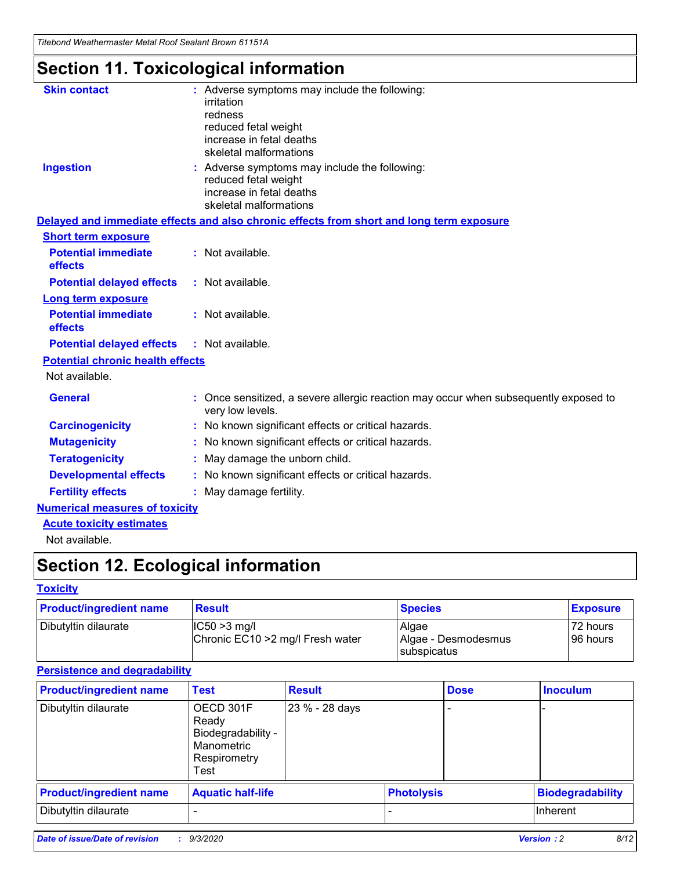*Titebond Weathermaster Metal Roof Sealant Brown 61151A*

# **Section 11. Toxicological information**

| <b>Skin contact</b>                     | : Adverse symptoms may include the following:<br>irritation<br>redness<br>reduced fetal weight<br>increase in fetal deaths<br>skeletal malformations |  |  |  |  |  |
|-----------------------------------------|------------------------------------------------------------------------------------------------------------------------------------------------------|--|--|--|--|--|
| <b>Ingestion</b>                        | : Adverse symptoms may include the following:<br>reduced fetal weight<br>increase in fetal deaths<br>skeletal malformations                          |  |  |  |  |  |
|                                         | Delayed and immediate effects and also chronic effects from short and long term exposure                                                             |  |  |  |  |  |
| <b>Short term exposure</b>              |                                                                                                                                                      |  |  |  |  |  |
| <b>Potential immediate</b><br>effects   | : Not available.                                                                                                                                     |  |  |  |  |  |
| <b>Potential delayed effects</b>        | : Not available.                                                                                                                                     |  |  |  |  |  |
| <b>Long term exposure</b>               |                                                                                                                                                      |  |  |  |  |  |
| <b>Potential immediate</b><br>effects   | : Not available.                                                                                                                                     |  |  |  |  |  |
| <b>Potential delayed effects</b>        | : Not available.                                                                                                                                     |  |  |  |  |  |
| <b>Potential chronic health effects</b> |                                                                                                                                                      |  |  |  |  |  |
| Not available.                          |                                                                                                                                                      |  |  |  |  |  |
| <b>General</b>                          | Once sensitized, a severe allergic reaction may occur when subsequently exposed to<br>very low levels.                                               |  |  |  |  |  |
| <b>Carcinogenicity</b>                  | No known significant effects or critical hazards.                                                                                                    |  |  |  |  |  |
| <b>Mutagenicity</b>                     | : No known significant effects or critical hazards.                                                                                                  |  |  |  |  |  |
| <b>Teratogenicity</b>                   | May damage the unborn child.                                                                                                                         |  |  |  |  |  |
| <b>Developmental effects</b>            | : No known significant effects or critical hazards.                                                                                                  |  |  |  |  |  |
| <b>Fertility effects</b>                | : May damage fertility.                                                                                                                              |  |  |  |  |  |
| <b>Numerical measures of toxicity</b>   |                                                                                                                                                      |  |  |  |  |  |
| <b>Acute toxicity estimates</b>         |                                                                                                                                                      |  |  |  |  |  |
| Not ovoilable                           |                                                                                                                                                      |  |  |  |  |  |

Not available.

# **Section 12. Ecological information**

#### **Toxicity**

| <b>Product/ingredient name</b> | <b>Result</b>                                       | <b>Species</b>               | <b>Exposure</b>       |
|--------------------------------|-----------------------------------------------------|------------------------------|-----------------------|
| Dibutyltin dilaurate           | $ CC50>3$ mg/l<br>Chronic EC10 > 2 mg/l Fresh water | Algae<br>Algae - Desmodesmus | 72 hours<br>196 hours |
|                                |                                                     | <b>I</b> subspicatus         |                       |

#### **Persistence and degradability**

| <b>Product/ingredient name</b> | <b>Test</b>                                                                    | <b>Result</b>  |                   | <b>Dose</b> | <b>Inoculum</b>         |
|--------------------------------|--------------------------------------------------------------------------------|----------------|-------------------|-------------|-------------------------|
| Dibutyltin dilaurate           | OECD 301F<br>Ready<br>Biodegradability -<br>Manometric<br>Respirometry<br>Test | 23 % - 28 days |                   |             |                         |
| <b>Product/ingredient name</b> | <b>Aquatic half-life</b>                                                       |                | <b>Photolysis</b> |             | <b>Biodegradability</b> |
| Dibutyltin dilaurate           |                                                                                |                |                   |             | <b>Inherent</b>         |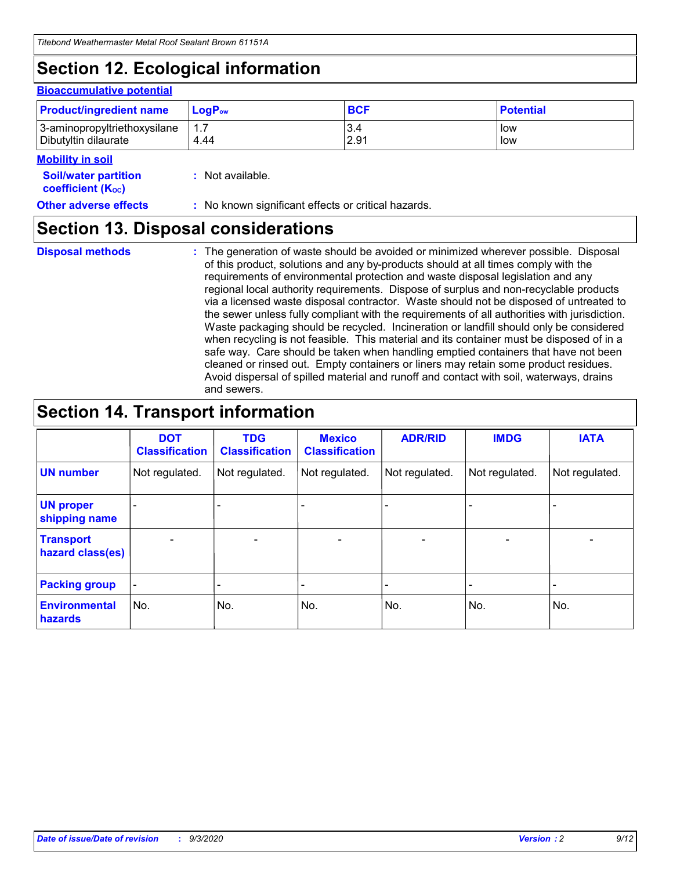# **Section 12. Ecological information**

#### **Bioaccumulative potential**

| <b>Product/ingredient name</b> | $\mathsf{LogP}_\mathsf{ow}$ | <b>BCF</b> | <b>Potential</b> |
|--------------------------------|-----------------------------|------------|------------------|
| 3-aminopropyltriethoxysilane   | 1.7                         | 3.4        | low              |
| Dibutyltin dilaurate           | 4.44                        | 2.91       | low              |

#### **Mobility in soil**

| INVMIILV III JVII                                       |                                                     |
|---------------------------------------------------------|-----------------------------------------------------|
| <b>Soil/water partition</b><br><b>coefficient (Koc)</b> | : Not available.                                    |
| <b>Other adverse effects</b>                            | : No known significant effects or critical hazards. |

### **Section 13. Disposal considerations**

**Disposal methods :**

The generation of waste should be avoided or minimized wherever possible. Disposal of this product, solutions and any by-products should at all times comply with the requirements of environmental protection and waste disposal legislation and any regional local authority requirements. Dispose of surplus and non-recyclable products via a licensed waste disposal contractor. Waste should not be disposed of untreated to the sewer unless fully compliant with the requirements of all authorities with jurisdiction. Waste packaging should be recycled. Incineration or landfill should only be considered when recycling is not feasible. This material and its container must be disposed of in a safe way. Care should be taken when handling emptied containers that have not been cleaned or rinsed out. Empty containers or liners may retain some product residues. Avoid dispersal of spilled material and runoff and contact with soil, waterways, drains and sewers.

### **Section 14. Transport information**

|                                      | <b>DOT</b><br><b>Classification</b> | <b>TDG</b><br><b>Classification</b> | <b>Mexico</b><br><b>Classification</b> | <b>ADR/RID</b>           | <b>IMDG</b>              | <b>IATA</b>    |
|--------------------------------------|-------------------------------------|-------------------------------------|----------------------------------------|--------------------------|--------------------------|----------------|
| <b>UN number</b>                     | Not regulated.                      | Not regulated.                      | Not regulated.                         | Not regulated.           | Not regulated.           | Not regulated. |
| <b>UN proper</b><br>shipping name    |                                     |                                     |                                        |                          |                          |                |
| <b>Transport</b><br>hazard class(es) |                                     | $\overline{\phantom{0}}$            | $\qquad \qquad \blacksquare$           | $\overline{\phantom{0}}$ | $\overline{\phantom{0}}$ |                |
| <b>Packing group</b>                 |                                     |                                     |                                        |                          |                          |                |
| <b>Environmental</b><br>hazards      | No.                                 | No.                                 | No.                                    | No.                      | No.                      | No.            |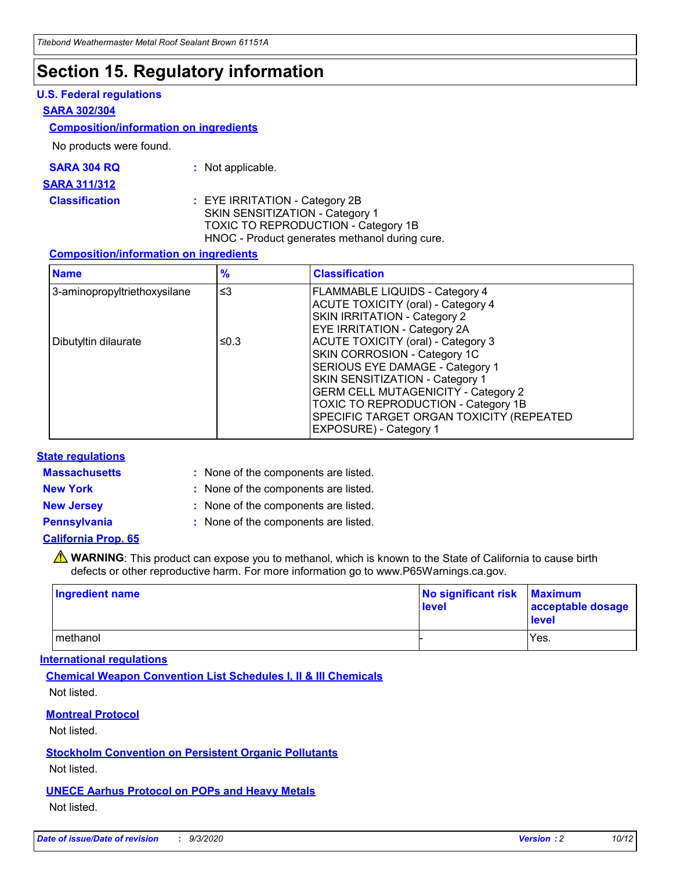### **Section 15. Regulatory information**

#### **U.S. Federal regulations**

#### **SARA 302/304**

#### **Composition/information on ingredients**

No products were found.

| SARA 304 RQ | Not applicable. |
|-------------|-----------------|
|-------------|-----------------|

#### **SARA 311/312**

**Classification :** EYE IRRITATION - Category 2B SKIN SENSITIZATION - Category 1 TOXIC TO REPRODUCTION - Category 1B HNOC - Product generates methanol during cure.

#### **Composition/information on ingredients**

| <b>Name</b>                  | $\frac{9}{6}$ | <b>Classification</b>                                                                                                                                                                                                                                                                                      |
|------------------------------|---------------|------------------------------------------------------------------------------------------------------------------------------------------------------------------------------------------------------------------------------------------------------------------------------------------------------------|
| 3-aminopropyltriethoxysilane | $\leq$ 3      | <b>FLAMMABLE LIQUIDS - Category 4</b><br><b>ACUTE TOXICITY (oral) - Category 4</b><br><b>SKIN IRRITATION - Category 2</b><br>EYE IRRITATION - Category 2A                                                                                                                                                  |
| Dibutyltin dilaurate         | ≤0.3          | <b>ACUTE TOXICITY (oral) - Category 3</b><br>SKIN CORROSION - Category 1C<br>SERIOUS EYE DAMAGE - Category 1<br>SKIN SENSITIZATION - Category 1<br><b>GERM CELL MUTAGENICITY - Category 2</b><br>TOXIC TO REPRODUCTION - Category 1B<br>SPECIFIC TARGET ORGAN TOXICITY (REPEATED<br>EXPOSURE) - Category 1 |

#### **State regulations**

**Massachusetts :**

: None of the components are listed.

**New York :** None of the components are listed. **New Jersey :** None of the components are listed.

**Pennsylvania :** None of the components are listed.

#### **California Prop. 65**

WARNING: This product can expose you to methanol, which is known to the State of California to cause birth defects or other reproductive harm. For more information go to www.P65Warnings.ca.gov.

| Ingredient name | No significant risk<br>level | <b>Maximum</b><br>acceptable dosage<br><b>level</b> |
|-----------------|------------------------------|-----------------------------------------------------|
| l methanol      |                              | Yes.                                                |

#### **International regulations**

**Chemical Weapon Convention List Schedules I, II & III Chemicals** Not listed.

#### **Montreal Protocol**

Not listed.

**Stockholm Convention on Persistent Organic Pollutants**

Not listed.

#### **UNECE Aarhus Protocol on POPs and Heavy Metals** Not listed.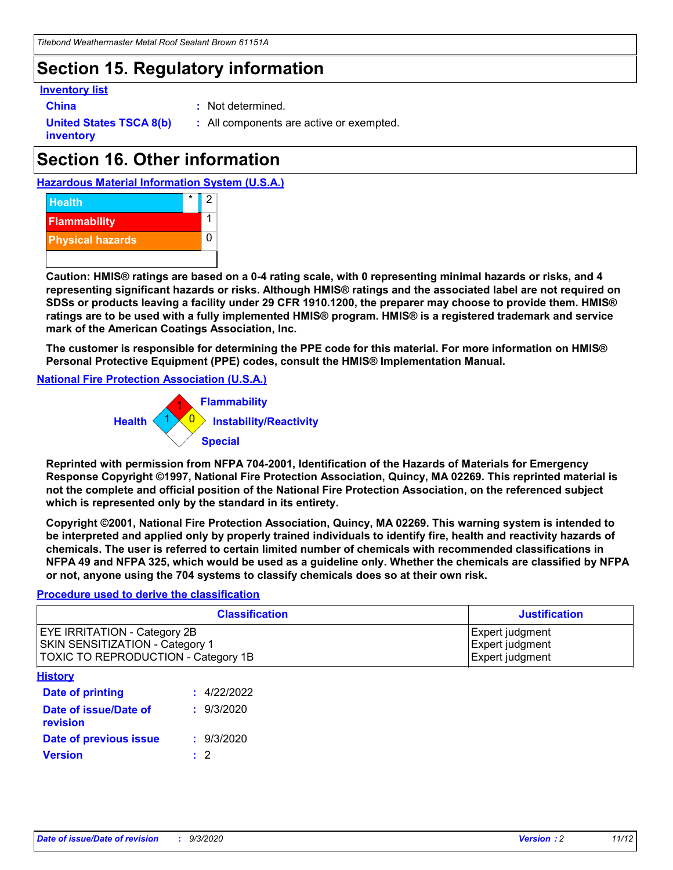# **Section 15. Regulatory information**

#### **Inventory list**

- 
- **China :** Not determined.

**United States TSCA 8(b) inventory**

**:** All components are active or exempted.

# **Section 16. Other information**





**Caution: HMIS® ratings are based on a 0-4 rating scale, with 0 representing minimal hazards or risks, and 4 representing significant hazards or risks. Although HMIS® ratings and the associated label are not required on SDSs or products leaving a facility under 29 CFR 1910.1200, the preparer may choose to provide them. HMIS® ratings are to be used with a fully implemented HMIS® program. HMIS® is a registered trademark and service mark of the American Coatings Association, Inc.**

**The customer is responsible for determining the PPE code for this material. For more information on HMIS® Personal Protective Equipment (PPE) codes, consult the HMIS® Implementation Manual.**

**National Fire Protection Association (U.S.A.)**



**Reprinted with permission from NFPA 704-2001, Identification of the Hazards of Materials for Emergency Response Copyright ©1997, National Fire Protection Association, Quincy, MA 02269. This reprinted material is not the complete and official position of the National Fire Protection Association, on the referenced subject which is represented only by the standard in its entirety.**

**Copyright ©2001, National Fire Protection Association, Quincy, MA 02269. This warning system is intended to be interpreted and applied only by properly trained individuals to identify fire, health and reactivity hazards of chemicals. The user is referred to certain limited number of chemicals with recommended classifications in NFPA 49 and NFPA 325, which would be used as a guideline only. Whether the chemicals are classified by NFPA or not, anyone using the 704 systems to classify chemicals does so at their own risk.**

#### **Procedure used to derive the classification**

| <b>Classification</b>                                                                                                | <b>Justification</b>                                  |
|----------------------------------------------------------------------------------------------------------------------|-------------------------------------------------------|
| <b>EYE IRRITATION - Category 2B</b><br><b>SKIN SENSITIZATION - Category 1</b><br>TOXIC TO REPRODUCTION - Category 1B | Expert judgment<br>Expert judgment<br>Expert judgment |
| <b>History</b>                                                                                                       |                                                       |

| .                                 |             |
|-----------------------------------|-------------|
| <b>Date of printing</b>           | : 4/22/2022 |
| Date of issue/Date of<br>revision | : 9/3/2020  |
| Date of previous issue            | : 9/3/2020  |
| <b>Version</b>                    | $\cdot$ 2   |
|                                   |             |